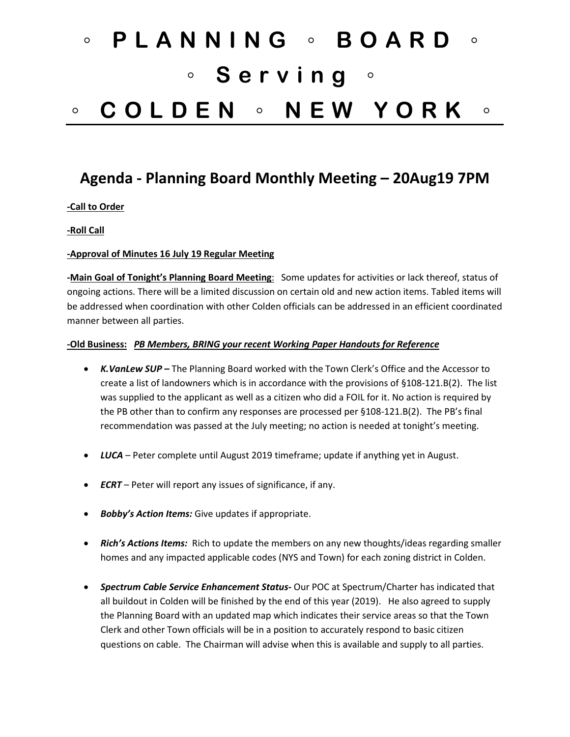# ◦ **PLANNING** ◦ **BOARD** ◦ ◦ **Serving** ◦ ◦ **COLDEN** ◦ **NEW YORK** ◦

# **Agenda - Planning Board Monthly Meeting – 20Aug19 7PM**

### **-Call to Order**

#### **-Roll Call**

#### **-Approval of Minutes 16 July 19 Regular Meeting**

**-Main Goal of Tonight's Planning Board Meeting**: Some updates for activities or lack thereof, status of ongoing actions. There will be a limited discussion on certain old and new action items. Tabled items will be addressed when coordination with other Colden officials can be addressed in an efficient coordinated manner between all parties.

#### **-Old Business:** *PB Members, BRING your recent Working Paper Handouts for Reference*

- *K.VanLew SUP –* The Planning Board worked with the Town Clerk's Office and the Accessor to create a list of landowners which is in accordance with the provisions of §108-121.B(2). The list was supplied to the applicant as well as a citizen who did a FOIL for it. No action is required by the PB other than to confirm any responses are processed per §108-121.B(2). The PB's final recommendation was passed at the July meeting; no action is needed at tonight's meeting.
- *LUCA* Peter complete until August 2019 timeframe; update if anything yet in August.
- *ECRT*  Peter will report any issues of significance, if any.
- *Bobby's Action Items:* Give updates if appropriate.
- *Rich's Actions Items:* Rich to update the members on any new thoughts/ideas regarding smaller homes and any impacted applicable codes (NYS and Town) for each zoning district in Colden.
- *Spectrum Cable Service Enhancement Status-* Our POC at Spectrum/Charter has indicated that all buildout in Colden will be finished by the end of this year (2019). He also agreed to supply the Planning Board with an updated map which indicates their service areas so that the Town Clerk and other Town officials will be in a position to accurately respond to basic citizen questions on cable. The Chairman will advise when this is available and supply to all parties.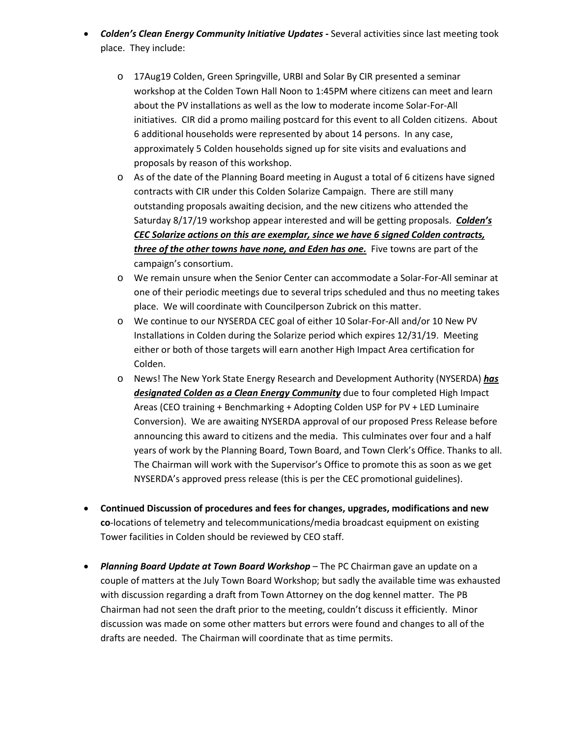- *Colden's Clean Energy Community Initiative Updates -* Several activities since last meeting took place. They include:
	- o 17Aug19 Colden, Green Springville, URBI and Solar By CIR presented a seminar workshop at the Colden Town Hall Noon to 1:45PM where citizens can meet and learn about the PV installations as well as the low to moderate income Solar-For-All initiatives. CIR did a promo mailing postcard for this event to all Colden citizens. About 6 additional households were represented by about 14 persons. In any case, approximately 5 Colden households signed up for site visits and evaluations and proposals by reason of this workshop.
	- o As of the date of the Planning Board meeting in August a total of 6 citizens have signed contracts with CIR under this Colden Solarize Campaign. There are still many outstanding proposals awaiting decision, and the new citizens who attended the Saturday 8/17/19 workshop appear interested and will be getting proposals. *Colden's CEC Solarize actions on this are exemplar, since we have 6 signed Colden contracts, three of the other towns have none, and Eden has one.* Five towns are part of the campaign's consortium.
	- o We remain unsure when the Senior Center can accommodate a Solar-For-All seminar at one of their periodic meetings due to several trips scheduled and thus no meeting takes place. We will coordinate with Councilperson Zubrick on this matter.
	- o We continue to our NYSERDA CEC goal of either 10 Solar-For-All and/or 10 New PV Installations in Colden during the Solarize period which expires 12/31/19. Meeting either or both of those targets will earn another High Impact Area certification for Colden.
	- o News! The New York State Energy Research and Development Authority (NYSERDA) *has designated Colden as a Clean Energy Community* due to four completed High Impact Areas (CEO training + Benchmarking + Adopting Colden USP for PV + LED Luminaire Conversion). We are awaiting NYSERDA approval of our proposed Press Release before announcing this award to citizens and the media. This culminates over four and a half years of work by the Planning Board, Town Board, and Town Clerk's Office. Thanks to all. The Chairman will work with the Supervisor's Office to promote this as soon as we get NYSERDA's approved press release (this is per the CEC promotional guidelines).
- **Continued Discussion of procedures and fees for changes, upgrades, modifications and new co**-locations of telemetry and telecommunications/media broadcast equipment on existing Tower facilities in Colden should be reviewed by CEO staff.
- *Planning Board Update at Town Board Workshop* The PC Chairman gave an update on a couple of matters at the July Town Board Workshop; but sadly the available time was exhausted with discussion regarding a draft from Town Attorney on the dog kennel matter. The PB Chairman had not seen the draft prior to the meeting, couldn't discuss it efficiently. Minor discussion was made on some other matters but errors were found and changes to all of the drafts are needed. The Chairman will coordinate that as time permits.